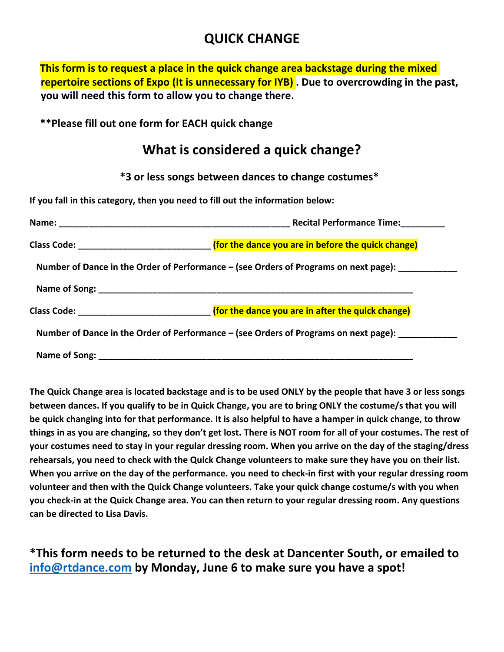# **QUICK CHANGE**

**This form is to request a place in the quick change area backstage during the mixed repertoire sections of Expo (It is unnecessary for IYB) . Due to overcrowding in the past, you will need this form to allow you to change there.**

**\*\*Please fill out one form for EACH quick change**

# **What is considered a quick change?**

**\*3 or less songs between dances to change costumes\***

**If you fall in this category, then you need to fill out the information below:**

|                                                                                      | <b>Recital Performance Time:</b>                                                                       |
|--------------------------------------------------------------------------------------|--------------------------------------------------------------------------------------------------------|
|                                                                                      | Class Code: ___________________________________ (for the dance you are in before the quick change)     |
|                                                                                      | Number of Dance in the Order of Performance – (see Orders of Programs on next page): _____________     |
|                                                                                      |                                                                                                        |
|                                                                                      | Class Code: <u>_________________________________</u> (for the dance you are in after the quick change) |
| Number of Dance in the Order of Performance – (see Orders of Programs on next page): |                                                                                                        |
|                                                                                      |                                                                                                        |

**The Quick Change area is located backstage and is to be used ONLY by the people that have 3 or less songs between dances. If you qualify to be in Quick Change, you are to bring ONLY the costume/s that you will be quick changing into for that performance. It is also helpful to have a hamper in quick change, to throw things in as you are changing, so they don't get lost. There is NOT room for all of your costumes. The rest of your costumes need to stay in your regular dressing room. When you arrive on the day of the staging/dress rehearsals, you need to check with the Quick Change volunteers to make sure they have you on their list. When you arrive on the day of the performance. you need to check-in first with your regular dressing room volunteer and then with the Quick Change volunteers. Take your quick change costume/s with you when you check-in at the Quick Change area. You can then return to your regular dressing room. Any questions can be directed to Lisa Davis.**

**\*This form needs to be returned to the desk at Dancenter South, or emailed to [info@rtdance.com](mailto:info@rtdance.com) by Monday, June 6 to make sure you have a spot!**